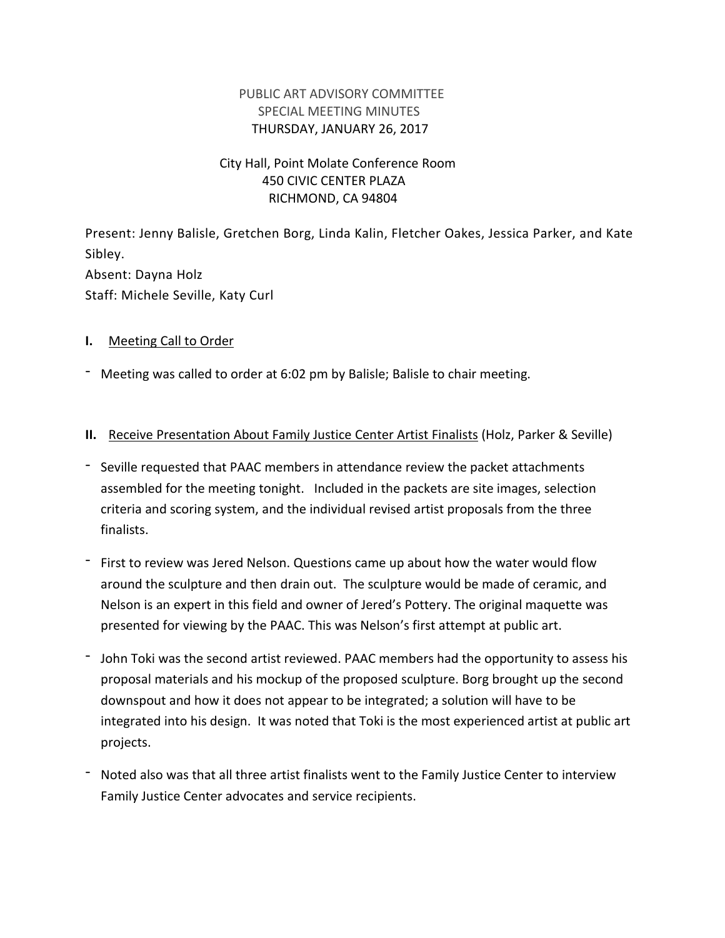## PUBLIC ART ADVISORY COMMITTEE SPECIAL MEETING MINUTES THURSDAY, JANUARY 26, 2017

# City Hall, Point Molate Conference Room 450 CIVIC CENTER PLAZA RICHMOND, CA 94804

Present: Jenny Balisle, Gretchen Borg, Linda Kalin, Fletcher Oakes, Jessica Parker, and Kate Sibley. Absent: Dayna Holz Staff: Michele Seville, Katy Curl

### **I.** Meeting Call to Order

- Meeting was called to order at 6:02 pm by Balisle; Balisle to chair meeting.

### **II.** Receive Presentation About Family Justice Center Artist Finalists (Holz, Parker & Seville)

- Seville requested that PAAC members in attendance review the packet attachments assembled for the meeting tonight. Included in the packets are site images, selection criteria and scoring system, and the individual revised artist proposals from the three finalists.
- First to review was Jered Nelson. Questions came up about how the water would flow around the sculpture and then drain out. The sculpture would be made of ceramic, and Nelson is an expert in this field and owner of Jered's Pottery. The original maquette was presented for viewing by the PAAC. This was Nelson's first attempt at public art.
- John Toki was the second artist reviewed. PAAC members had the opportunity to assess his proposal materials and his mockup of the proposed sculpture. Borg brought up the second downspout and how it does not appear to be integrated; a solution will have to be integrated into his design. It was noted that Toki is the most experienced artist at public art projects.
- Noted also was that all three artist finalists went to the Family Justice Center to interview Family Justice Center advocates and service recipients.